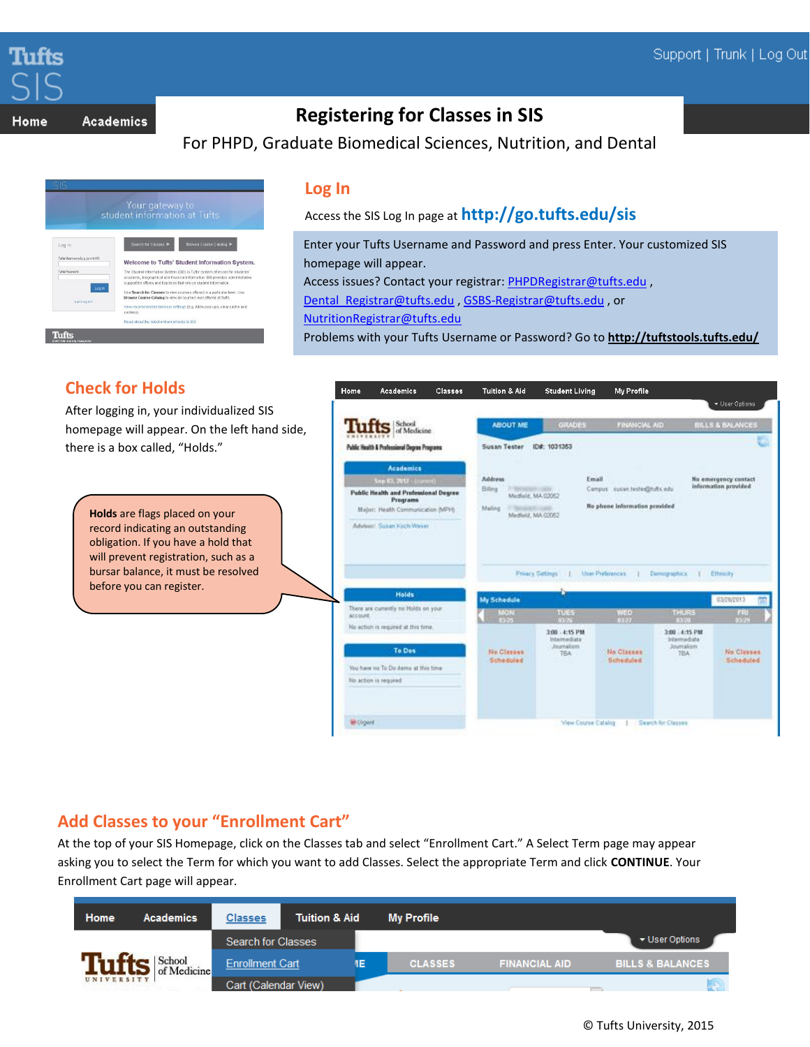

Home **Academics** 

# **Registering for Classes in SIS**

For PHPD, Graduate Biomedical Sciences, Nutrition, and Dental



## **Log In**

Access the SIS Log In page at **http://go.tufts.edu/sis**

Enter your Tufts Username and Password and press Enter. Your customized SIS homepage will appear. Access issues? Contact your registrar: [PHPDRegistrar@tufts.edu](mailto:PHPDRegistrar@tufts.edu),

[Dental\\_Registrar@tufts.edu](mailto:Dental_Registrar@tufts.edu) [, GSBS-Registrar@tufts.edu](mailto:GSBS-Registrar@tufts.edu) , or

[NutritionRegistrar@tufts.edu](mailto:NutritionRegistrar@tufts.edu)

Problems with your Tufts Username or Password? Go to **<http://tuftstools.tufts.edu/>**

## **Check for Holds**

After logging in, your individualized SIS homepage will appear. On the left hand side, there is a box called, "Holds."

> **Holds** are flags placed on your record indicating an outstanding obligation. If you have a hold that will prevent registration, such as a bursar balance, it must be resolved before you can register.



## **Add Classes to your "Enrollment Cart"**

At the top of your SIS Homepage, click on the Classes tab and select "Enrollment Cart." A Select Term page may appear asking you to select the Term for which you want to add Classes. Select the appropriate Term and click **CONTINUE**. Your Enrollment Cart page will appear.

| Home              | <b>Academics</b>      | <b>Classes</b>         | <b>Tuition &amp; Aid</b> | <b>My Profile</b> |                      |                             |
|-------------------|-----------------------|------------------------|--------------------------|-------------------|----------------------|-----------------------------|
|                   |                       | Search for Classes     |                          |                   |                      | ▼ User Options              |
|                   | School<br>of Medicine | <b>Enrollment Cart</b> | ΙE                       | <b>CLASSES</b>    | <b>FINANCIAL AID</b> | <b>BILLS &amp; BALANCES</b> |
| <b>UNIVERSITY</b> |                       | Cart (Calendar View)   |                          |                   |                      | لوميا                       |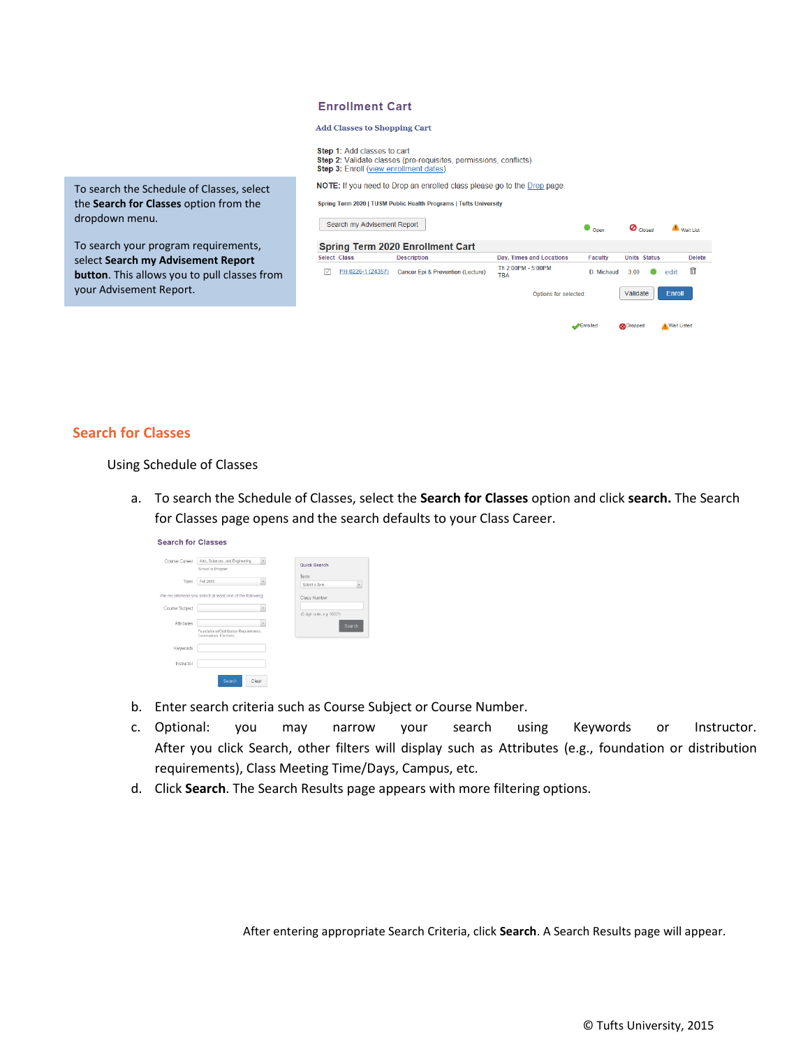| <b>Enrollment Cart</b> |  |  |
|------------------------|--|--|
|------------------------|--|--|

**Add Classes to Shopping Cart** 

Step 1: Add classes to cart Step 2: Validate classes (pre-requisites, permissions, conflicts)<br>Step 3: Enroll (view enrollment dates)

NOTE: If you need to Drop an enrolled class please go to the Drop page.

Spring Term 2020 | TUSM Public Health Programs | Tufts University

|   |                   | <b>Spring Term 2020 Enrollment Cart</b> |                                 |                |                     |               |
|---|-------------------|-----------------------------------------|---------------------------------|----------------|---------------------|---------------|
|   | Select Class      | <b>Description</b>                      | <b>Dav. Times and Locations</b> | <b>Faculty</b> | <b>Units Status</b> | <b>Delete</b> |
| ✓ | PH 0226-1 (24357) | Cancer Epi & Prevention (Lecture)       | Th 2:00PM - 5:00PM<br>TBA       | D. Michaud     | 3.00                | Ħ<br>edit     |
|   |                   |                                         | Options for selected:           |                | Validate            | Enroll        |

## **Search for Classes**

your Advisement Report.

dropdown menu.

#### Using Schedule of Classes

To search the Schedule of Classes, select the **Search for Classes** option from the

To search your program requirements, select **Search my Advisement Report button**. This allows you to pull classes from

> a. To search the Schedule of Classes, select the **Search for Classes** option and click **search.** The Search for Classes page opens and the search defaults to your Class Career.

| Course Career  | Arts, Sciences, and Engineering                                    | Quick Search               |
|----------------|--------------------------------------------------------------------|----------------------------|
|                | School or Program                                                  |                            |
| Term           | Fall 2015                                                          | Term                       |
|                |                                                                    | Select a Term<br>٠         |
|                | We recommend you select at least one of the following:             | Class Number               |
| Course Subject |                                                                    |                            |
|                |                                                                    | (5 digit code, e.g. 85031) |
| Attributes     |                                                                    | Search                     |
|                | Foundational/Distribution Requirements,<br>Continuation, Electives |                            |
| Keywords       |                                                                    |                            |
| Instructor     |                                                                    |                            |

- b. Enter search criteria such as Course Subject or Course Number.
- c. Optional: you may narrow your search using Keywords or Instructor. After you click Search, other filters will display such as Attributes (e.g., foundation or distribution requirements), Class Meeting Time/Days, Campus, etc.
- d. Click **Search**. The Search Results page appears with more filtering options.

After entering appropriate Search Criteria, click **Search**. A Search Results page will appear.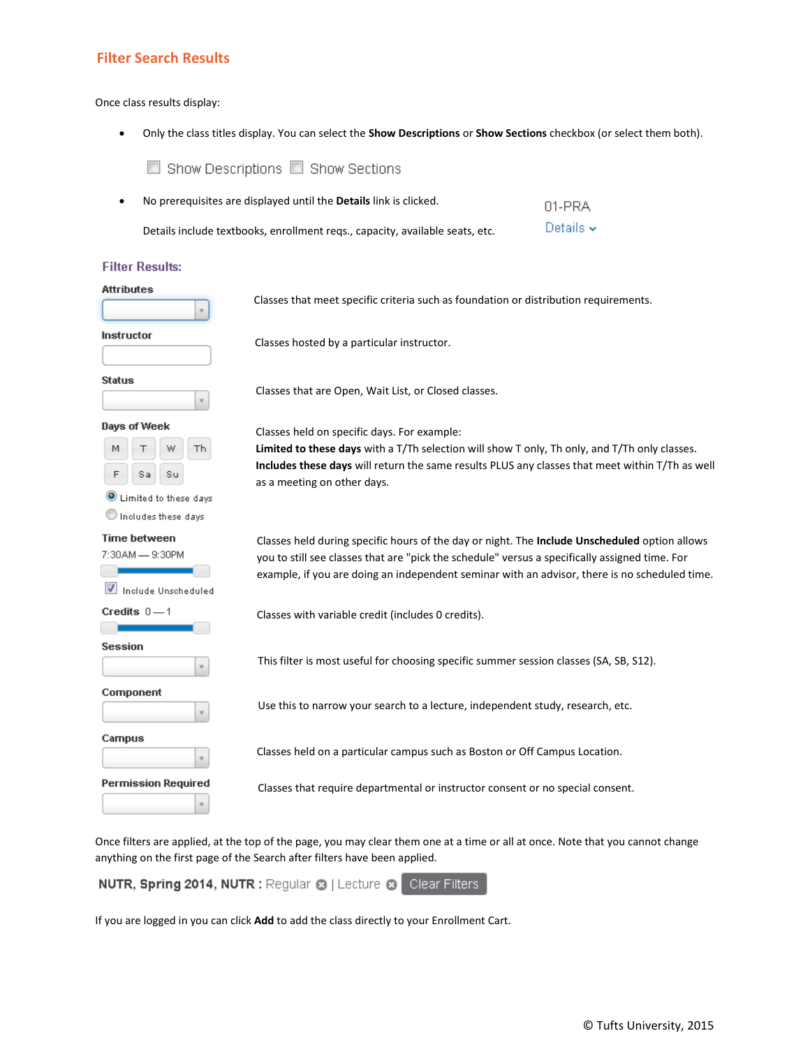### **Filter Search Results**

#### Once class results display:

Show Descriptions Show Sections

• Only the class titles display. You can select the **Show Descriptions** or **Show Sections** checkbox (or select them both).

• No prerequisites are displayed until the **Details** link is clicked. 01-PRA Details  $\sim$ Details include textbooks, enrollment reqs., capacity, available seats, etc. **Filter Results: Attributes** Classes that meet specific criteria such as foundation or distribution requirements. Instructor Classes hosted by a particular instructor. **Status** Classes that are Open, Wait List, or Closed classes.  $\overline{\mathbf{v}}$ Days of Week Classes held on specific days. For example: **Th Limited to these days** with a T/Th selection will show T only, Th only, and T/Th only classes. M **Includes these days** will return the same results PLUS any classes that meet within T/Th as well Sa Su as a meeting on other days. U Limited to these days Includes these days **Time between** Classes held during specific hours of the day or night. The **Include Unscheduled** option allows 7:30AM - 9:30PM you to still see classes that are "pick the schedule" versus a specifically assigned time. For example, if you are doing an independent seminar with an advisor, there is no scheduled time. Include Unscheduled Credits  $0-1$ Classes with variable credit (includes 0 credits). **Session** This filter is most useful for choosing specific summer session classes (SA, SB, S12). Component Use this to narrow your search to a lecture, independent study, research, etc. v Campus Classes held on a particular campus such as Boston or Off Campus Location.v **Permission Required** 

Once filters are applied, at the top of the page, you may clear them one at a time or all at once. Note that you cannot change anything on the first page of the Search after filters have been applied.

Classes that require departmental or instructor consent or no special consent.

NUTR, Spring 2014, NUTR : Regular @ | Lecture @ Clear Filters

If you are logged in you can click **Add** to add the class directly to your Enrollment Cart.